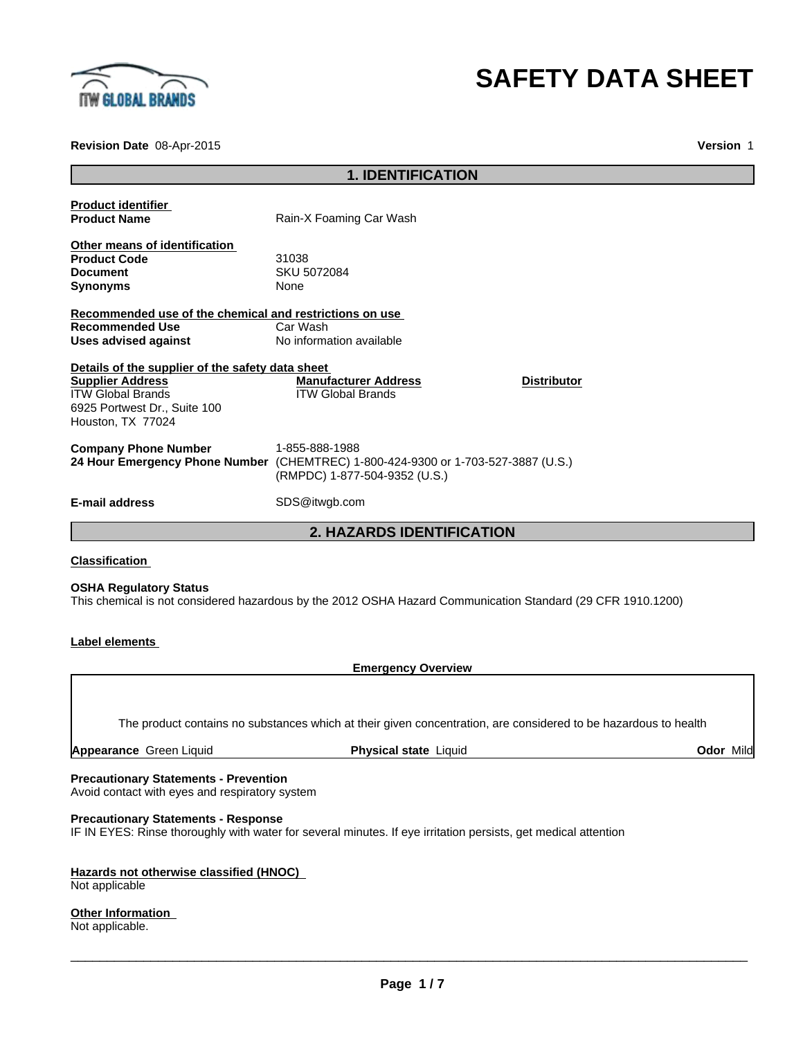

# **SAFETY DATA SHEET**

**Revision Date** 08-Apr-2015

**Version** 1

| <b>1. IDENTIFICATION</b>                                                                                                                                     |                                                                                                                                      |
|--------------------------------------------------------------------------------------------------------------------------------------------------------------|--------------------------------------------------------------------------------------------------------------------------------------|
| <b>Product identifier</b><br><b>Product Name</b>                                                                                                             | Rain-X Foaming Car Wash                                                                                                              |
| Other means of identification<br><b>Product Code</b><br><b>Document</b><br><b>Synonyms</b>                                                                   | 31038<br>SKU 5072084<br>None                                                                                                         |
| Recommended use of the chemical and restrictions on use<br><b>Recommended Use</b><br><b>Uses advised against</b>                                             | Car Wash<br>No information available                                                                                                 |
| Details of the supplier of the safety data sheet<br><b>Supplier Address</b><br><b>ITW Global Brands</b><br>6925 Portwest Dr., Suite 100<br>Houston, TX 77024 | <b>Manufacturer Address</b><br><b>Distributor</b><br><b>ITW Global Brands</b>                                                        |
| <b>Company Phone Number</b>                                                                                                                                  | 1-855-888-1988<br>24 Hour Emergency Phone Number (CHEMTREC) 1-800-424-9300 or 1-703-527-3887 (U.S.)<br>(RMPDC) 1-877-504-9352 (U.S.) |
| <b>E-mail address</b>                                                                                                                                        | SDS@itwgb.com                                                                                                                        |
|                                                                                                                                                              | <b>2. HAZARDS IDENTIFICATION</b>                                                                                                     |

## **Classification**

#### **OSHA Regulatory Status**

This chemical is not considered hazardous by the 2012 OSHA Hazard Communication Standard (29 CFR 1910.1200)

## **Label elements**

**Emergency Overview**

The product contains no substances which at their given concentration, are considered to be hazardous to health

**Appearance** Green Liquid **Physical state** Liquid **Odor** Mild

#### **Precautionary Statements - Prevention**

Avoid contact with eyes and respiratory system

## **Precautionary Statements - Response**

IF IN EYES: Rinse thoroughly with water for several minutes. If eye irritation persists, get medical attention

# **Hazards not otherwise classified (HNOC)**

Not applicable

**Other Information**  Not applicable.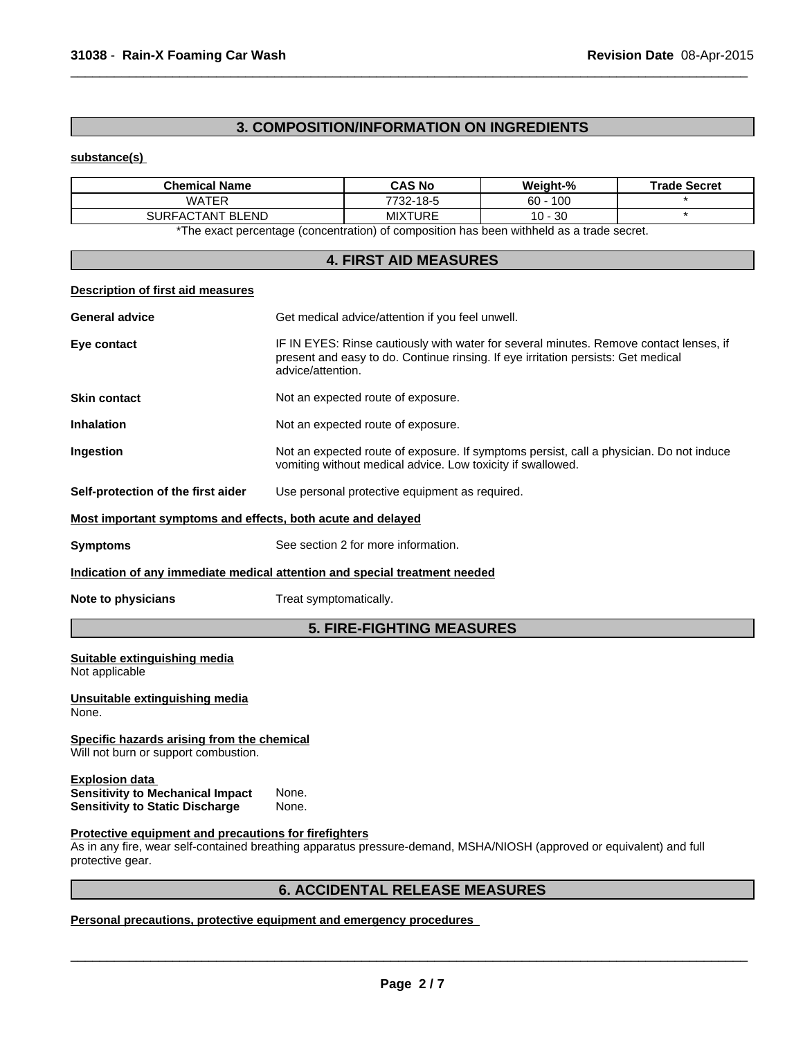## **3. COMPOSITION/INFORMATION ON INGREDIENTS**

 $\overline{\phantom{a}}$  ,  $\overline{\phantom{a}}$  ,  $\overline{\phantom{a}}$  ,  $\overline{\phantom{a}}$  ,  $\overline{\phantom{a}}$  ,  $\overline{\phantom{a}}$  ,  $\overline{\phantom{a}}$  ,  $\overline{\phantom{a}}$  ,  $\overline{\phantom{a}}$  ,  $\overline{\phantom{a}}$  ,  $\overline{\phantom{a}}$  ,  $\overline{\phantom{a}}$  ,  $\overline{\phantom{a}}$  ,  $\overline{\phantom{a}}$  ,  $\overline{\phantom{a}}$  ,  $\overline{\phantom{a}}$ 

## **substance(s)**

| <b>Chemical Name</b>                 | <b>CAS No</b> | Weight-%    | <b>Trade Secret</b> |
|--------------------------------------|---------------|-------------|---------------------|
| WATER                                | 7732-18-5     | 100<br>60 - |                     |
| <b>SURFAC</b><br><b>\CTANT BLEND</b> | MIXTURE       | $10 - 30$   |                     |

\*The exact percentage (concentration) of composition has been withheld as a trade secret.

# **4. FIRST AID MEASURES**

## **Description of first aid measures**

| <b>General advice</b>                                                                                      | Get medical advice/attention if you feel unwell.                                                                                                                                                 |
|------------------------------------------------------------------------------------------------------------|--------------------------------------------------------------------------------------------------------------------------------------------------------------------------------------------------|
| Eye contact                                                                                                | IF IN EYES: Rinse cautiously with water for several minutes. Remove contact lenses, if<br>present and easy to do. Continue rinsing. If eye irritation persists: Get medical<br>advice/attention. |
| <b>Skin contact</b>                                                                                        | Not an expected route of exposure.                                                                                                                                                               |
| <b>Inhalation</b>                                                                                          | Not an expected route of exposure.                                                                                                                                                               |
| Ingestion                                                                                                  | Not an expected route of exposure. If symptoms persist, call a physician. Do not induce<br>vomiting without medical advice. Low toxicity if swallowed.                                           |
| Self-protection of the first aider                                                                         | Use personal protective equipment as required.                                                                                                                                                   |
| Most important symptoms and effects, both acute and delayed                                                |                                                                                                                                                                                                  |
| <b>Symptoms</b>                                                                                            | See section 2 for more information.                                                                                                                                                              |
|                                                                                                            | Indication of any immediate medical attention and special treatment needed                                                                                                                       |
| Note to physicians                                                                                         | Treat symptomatically.                                                                                                                                                                           |
|                                                                                                            | <b>5. FIRE-FIGHTING MEASURES</b>                                                                                                                                                                 |
| Suitable extinguishing media                                                                               |                                                                                                                                                                                                  |
| Not applicable                                                                                             |                                                                                                                                                                                                  |
| Unsuitable extinguishing media<br>None.                                                                    |                                                                                                                                                                                                  |
| Specific hazards arising from the chemical<br>Will not burn or support combustion.                         |                                                                                                                                                                                                  |
| <b>Explosion data</b><br><b>Sensitivity to Mechanical Impact</b><br><b>Sensitivity to Static Discharge</b> | None.<br>None.                                                                                                                                                                                   |

# **6. ACCIDENTAL RELEASE MEASURES**

## **Personal precautions, protective equipment and emergency procedures**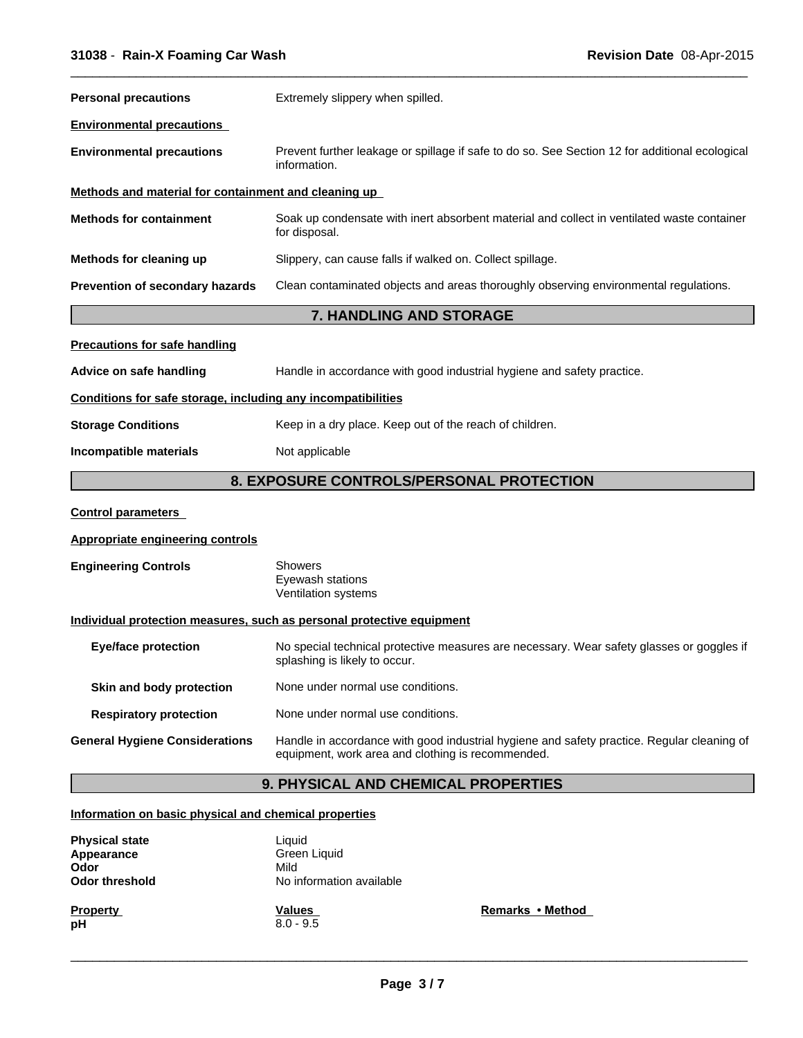| <b>Personal precautions</b>                                  | Extremely slippery when spilled.                                                                                           |
|--------------------------------------------------------------|----------------------------------------------------------------------------------------------------------------------------|
| <b>Environmental precautions</b>                             |                                                                                                                            |
| <b>Environmental precautions</b>                             | Prevent further leakage or spillage if safe to do so. See Section 12 for additional ecological<br>information.             |
| Methods and material for containment and cleaning up         |                                                                                                                            |
| <b>Methods for containment</b>                               | Soak up condensate with inert absorbent material and collect in ventilated waste container<br>for disposal.                |
| Methods for cleaning up                                      | Slippery, can cause falls if walked on. Collect spillage.                                                                  |
| Prevention of secondary hazards                              | Clean contaminated objects and areas thoroughly observing environmental regulations.                                       |
|                                                              | 7. HANDLING AND STORAGE                                                                                                    |
| <b>Precautions for safe handling</b>                         |                                                                                                                            |
| Advice on safe handling                                      | Handle in accordance with good industrial hygiene and safety practice.                                                     |
| Conditions for safe storage, including any incompatibilities |                                                                                                                            |
| <b>Storage Conditions</b>                                    | Keep in a dry place. Keep out of the reach of children.                                                                    |
| Incompatible materials                                       | Not applicable                                                                                                             |
|                                                              | 8. EXPOSURE CONTROLS/PERSONAL PROTECTION                                                                                   |
| <b>Control parameters</b>                                    |                                                                                                                            |
| Appropriate engineering controls                             |                                                                                                                            |
| <b>Engineering Controls</b>                                  | <b>Showers</b><br>Eyewash stations<br>Ventilation systems                                                                  |
|                                                              | Individual protection measures, such as personal protective equipment                                                      |
| <b>Eye/face protection</b>                                   | No special technical protective measures are necessary. Wear safety glasses or goggles if<br>splashing is likely to occur. |
| Skin and body protection                                     | None under normal use conditions.                                                                                          |
|                                                              |                                                                                                                            |

**Respiratory protection** None under normal use conditions.

**General Hygiene Considerations** Handle in accordance with good industrial hygiene and safety practice. Regular cleaning of equipment, work area and clothing is recommended.

# **9. PHYSICAL AND CHEMICAL PROPERTIES**

## **Information on basic physical and chemical properties**

| <b>Physical state</b><br>Appearance<br>Odor<br><b>Odor threshold</b> | Liquid<br>Green Liquid<br>Mild<br>No information available |                  |
|----------------------------------------------------------------------|------------------------------------------------------------|------------------|
| <b>Property</b><br>pH                                                | Values<br>$8.0 - 9.5$                                      | Remarks • Method |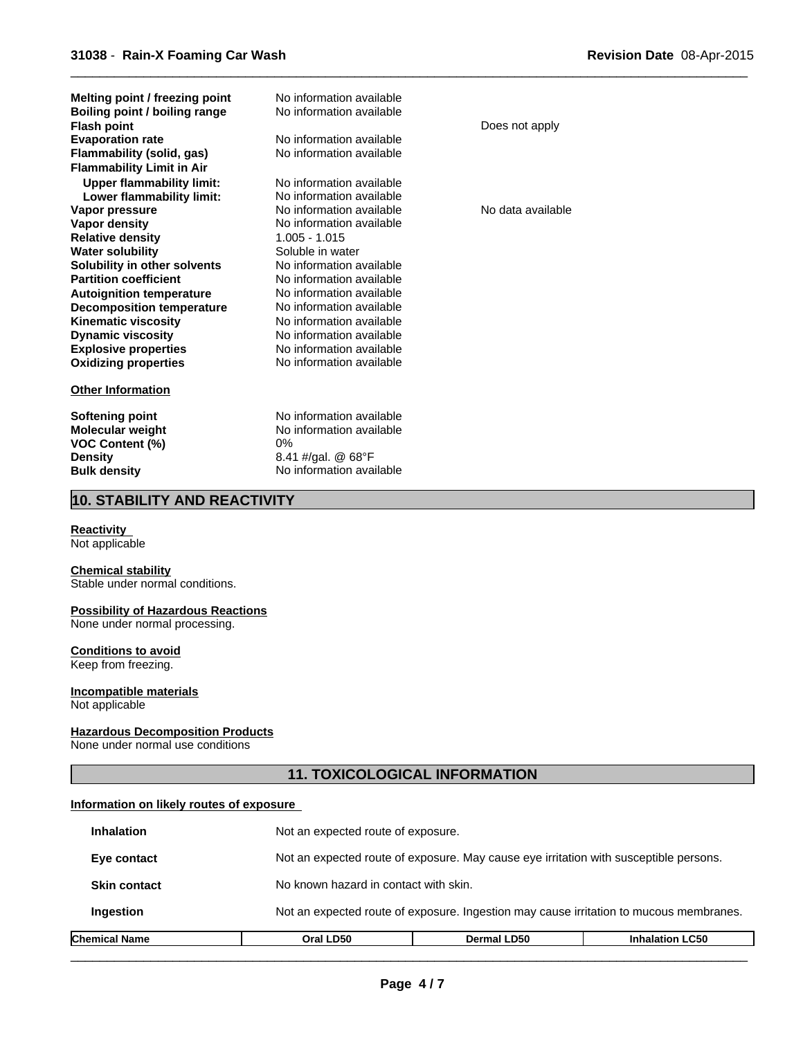| Melting point / freezing point<br>Boiling point / boiling range<br><b>Flash point</b><br><b>Evaporation rate</b><br><b>Flammability (solid, gas)</b><br><b>Flammability Limit in Air</b> | No information available<br>No information available<br>No information available<br>No information available | Does not apply    |
|------------------------------------------------------------------------------------------------------------------------------------------------------------------------------------------|--------------------------------------------------------------------------------------------------------------|-------------------|
| <b>Upper flammability limit:</b><br>Lower flammability limit:                                                                                                                            | No information available<br>No information available                                                         |                   |
| Vapor pressure                                                                                                                                                                           | No information available                                                                                     | No data available |
| Vapor density                                                                                                                                                                            | No information available                                                                                     |                   |
| <b>Relative density</b>                                                                                                                                                                  | $1.005 - 1.015$                                                                                              |                   |
| <b>Water solubility</b>                                                                                                                                                                  | Soluble in water                                                                                             |                   |
| Solubility in other solvents                                                                                                                                                             | No information available                                                                                     |                   |
| <b>Partition coefficient</b>                                                                                                                                                             | No information available                                                                                     |                   |
| <b>Autoignition temperature</b>                                                                                                                                                          | No information available                                                                                     |                   |
| <b>Decomposition temperature</b>                                                                                                                                                         | No information available                                                                                     |                   |
| <b>Kinematic viscosity</b>                                                                                                                                                               | No information available                                                                                     |                   |
| <b>Dynamic viscosity</b>                                                                                                                                                                 | No information available                                                                                     |                   |
| <b>Explosive properties</b>                                                                                                                                                              | No information available<br>No information available                                                         |                   |
| <b>Oxidizing properties</b>                                                                                                                                                              |                                                                                                              |                   |
| <b>Other Information</b>                                                                                                                                                                 |                                                                                                              |                   |
| <b>Softening point</b>                                                                                                                                                                   | No information available                                                                                     |                   |
| <b>Molecular weight</b>                                                                                                                                                                  | No information available                                                                                     |                   |
| <b>VOC Content (%)</b>                                                                                                                                                                   | $0\%$                                                                                                        |                   |
| <b>Density</b>                                                                                                                                                                           | 8.41 #/gal. @ $68^{\circ}$ F                                                                                 |                   |
| <b>Bulk density</b>                                                                                                                                                                      | No information available                                                                                     |                   |
|                                                                                                                                                                                          |                                                                                                              |                   |

 $\overline{\phantom{a}}$  ,  $\overline{\phantom{a}}$  ,  $\overline{\phantom{a}}$  ,  $\overline{\phantom{a}}$  ,  $\overline{\phantom{a}}$  ,  $\overline{\phantom{a}}$  ,  $\overline{\phantom{a}}$  ,  $\overline{\phantom{a}}$  ,  $\overline{\phantom{a}}$  ,  $\overline{\phantom{a}}$  ,  $\overline{\phantom{a}}$  ,  $\overline{\phantom{a}}$  ,  $\overline{\phantom{a}}$  ,  $\overline{\phantom{a}}$  ,  $\overline{\phantom{a}}$  ,  $\overline{\phantom{a}}$ 

## **10. STABILITY AND REACTIVITY**

## **Reactivity**

Not applicable

## **Chemical stability**

Stable under normal conditions.

#### **Possibility of Hazardous Reactions**

None under normal processing.

## **Conditions to avoid**

Keep from freezing.

#### **Incompatible materials** Not applicable

## **Hazardous Decomposition Products**

None under normal use conditions

# **11. TOXICOLOGICAL INFORMATION**

## **Information on likely routes of exposure**

| Chemical Name       | Oral LD50                                                                              | <b>Dermal LD50</b>                                                                    | <b>Inhalation LC50</b> |  |
|---------------------|----------------------------------------------------------------------------------------|---------------------------------------------------------------------------------------|------------------------|--|
| Ingestion           | Not an expected route of exposure. Ingestion may cause irritation to mucous membranes. |                                                                                       |                        |  |
| <b>Skin contact</b> |                                                                                        | No known hazard in contact with skin.                                                 |                        |  |
| Eye contact         |                                                                                        | Not an expected route of exposure. May cause eye irritation with susceptible persons. |                        |  |
| <b>Inhalation</b>   | Not an expected route of exposure.                                                     |                                                                                       |                        |  |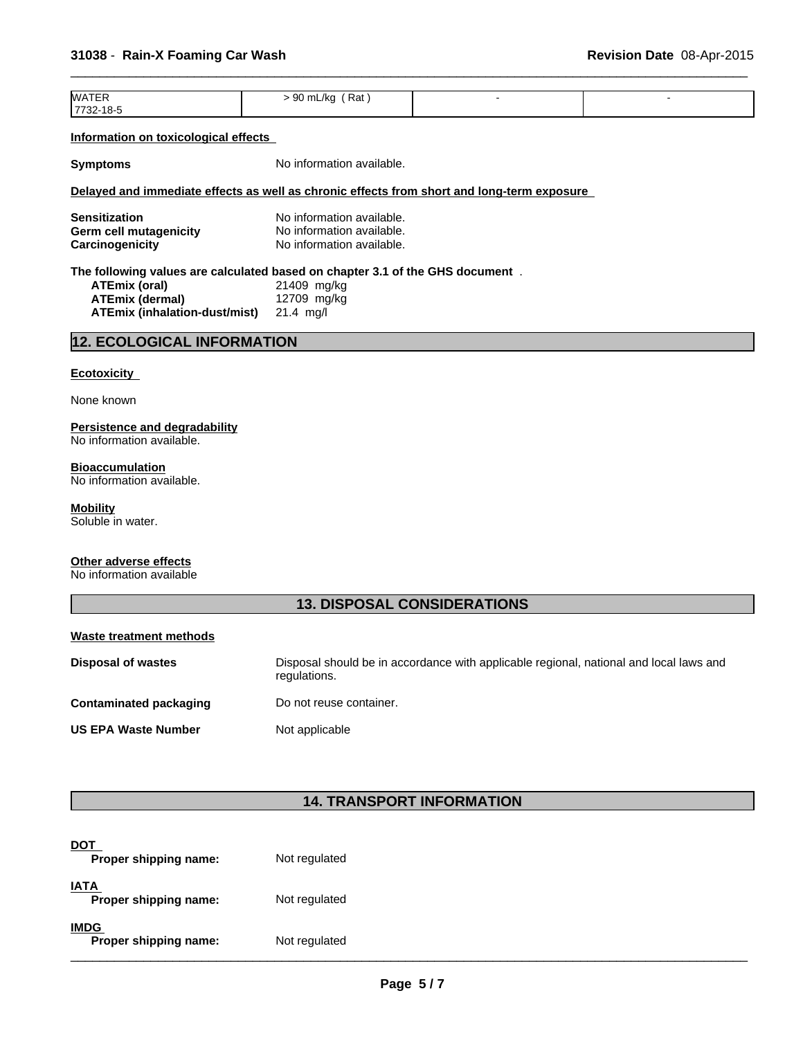| <b>WATER</b> | Rat<br>∙ 90 mL/kg |  |
|--------------|-------------------|--|
| 17732-18-5   |                   |  |

 $\overline{\phantom{a}}$  ,  $\overline{\phantom{a}}$  ,  $\overline{\phantom{a}}$  ,  $\overline{\phantom{a}}$  ,  $\overline{\phantom{a}}$  ,  $\overline{\phantom{a}}$  ,  $\overline{\phantom{a}}$  ,  $\overline{\phantom{a}}$  ,  $\overline{\phantom{a}}$  ,  $\overline{\phantom{a}}$  ,  $\overline{\phantom{a}}$  ,  $\overline{\phantom{a}}$  ,  $\overline{\phantom{a}}$  ,  $\overline{\phantom{a}}$  ,  $\overline{\phantom{a}}$  ,  $\overline{\phantom{a}}$ 

#### **Information on toxicological effects**

**Symptoms** No information available.

## **Delayed and immediate effects as well as chronic effects from short and long-term exposure**

| <b>Sensitization</b>   | No information available. |
|------------------------|---------------------------|
| Germ cell mutagenicity | No information available. |
| Carcinogenicity        | No information available. |

#### **The following values are calculated based on chapter 3.1 of the GHS document** .

| ATEmix (oral)                 | 21409 mg/kg |
|-------------------------------|-------------|
| ATEmix (dermal)               | 12709 mg/kg |
| ATEmix (inhalation-dust/mist) | 21.4 ma/l   |

## **12. ECOLOGICAL INFORMATION**

#### **Ecotoxicity**

None known

#### **Persistence and degradability** No information available.

**Bioaccumulation** No information available.

## **Mobility**

Soluble in water.

# **Other adverse effects**

No information available

## **13. DISPOSAL CONSIDERATIONS**

#### **Waste treatment methods**

| <b>Disposal of wastes</b>  | Disposal should be in accordance with applicable regional, national and local laws and<br>regulations. |
|----------------------------|--------------------------------------------------------------------------------------------------------|
| Contaminated packaging     | Do not reuse container.                                                                                |
| <b>US EPA Waste Number</b> | Not applicable                                                                                         |

## **14. TRANSPORT INFORMATION**

| <u>DOT</u><br>Proper shipping name:  | Not regulated |
|--------------------------------------|---------------|
| <b>IATA</b><br>Proper shipping name: | Not regulated |
| <b>IMDG</b><br>Proper shipping name: | Not regulated |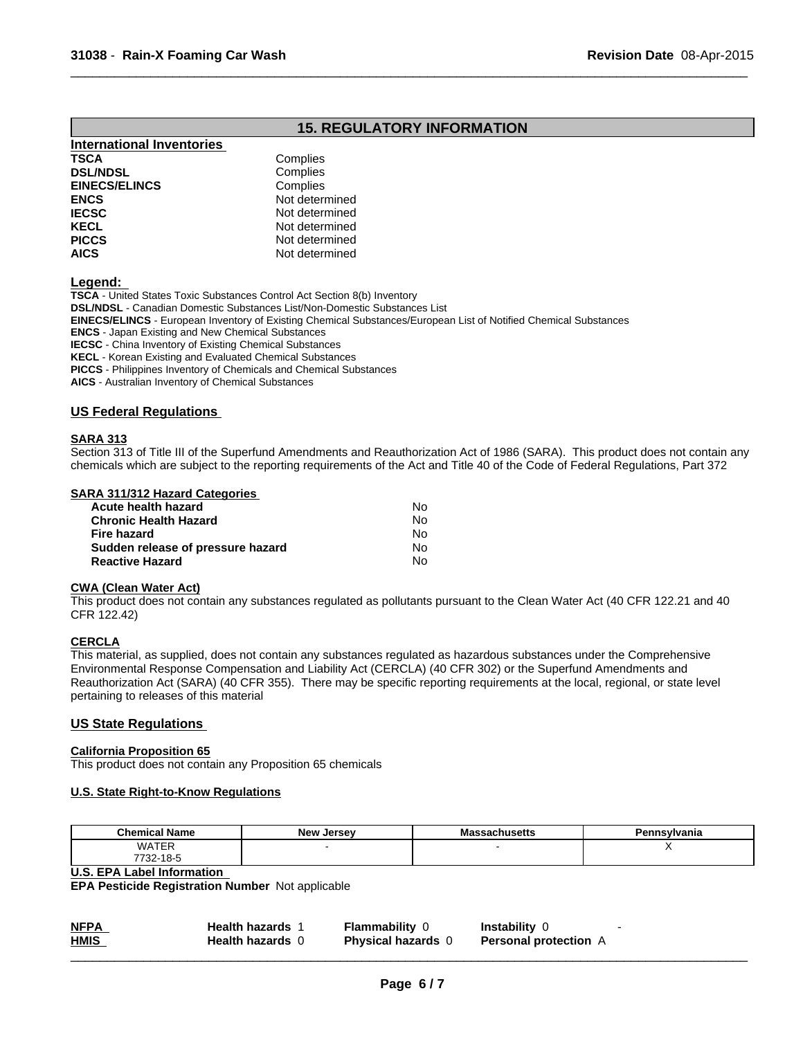## **15. REGULATORY INFORMATION**

 $\overline{\phantom{a}}$  ,  $\overline{\phantom{a}}$  ,  $\overline{\phantom{a}}$  ,  $\overline{\phantom{a}}$  ,  $\overline{\phantom{a}}$  ,  $\overline{\phantom{a}}$  ,  $\overline{\phantom{a}}$  ,  $\overline{\phantom{a}}$  ,  $\overline{\phantom{a}}$  ,  $\overline{\phantom{a}}$  ,  $\overline{\phantom{a}}$  ,  $\overline{\phantom{a}}$  ,  $\overline{\phantom{a}}$  ,  $\overline{\phantom{a}}$  ,  $\overline{\phantom{a}}$  ,  $\overline{\phantom{a}}$ 

| International Inventories |                |
|---------------------------|----------------|
| <b>TSCA</b>               | Complies       |
| <b>DSL/NDSL</b>           | Complies       |
| <b>EINECS/ELINCS</b>      | Complies       |
| <b>ENCS</b>               | Not determined |
| <b>IECSC</b>              | Not determined |
| <b>KECL</b>               | Not determined |
| <b>PICCS</b>              | Not determined |
| <b>AICS</b>               | Not determined |
|                           |                |

**Legend:** 

**TSCA** - United States Toxic Substances Control Act Section 8(b) Inventory **DSL/NDSL** - Canadian Domestic Substances List/Non-Domestic Substances List **EINECS/ELINCS** - European Inventory of Existing Chemical Substances/European List of Notified Chemical Substances **ENCS** - Japan Existing and New Chemical Substances **IECSC** - China Inventory of Existing Chemical Substances **KECL** - Korean Existing and Evaluated Chemical Substances **PICCS** - Philippines Inventory of Chemicals and Chemical Substances **AICS** - Australian Inventory of Chemical Substances

## **US Federal Regulations**

## **SARA 313**

Section 313 of Title III of the Superfund Amendments and Reauthorization Act of 1986 (SARA). This product does not contain any chemicals which are subject to the reporting requirements of the Act and Title 40 of the Code of Federal Regulations, Part 372

#### **SARA 311/312 Hazard Categories**

| Acute health hazard               | No. |  |
|-----------------------------------|-----|--|
| <b>Chronic Health Hazard</b>      | N٥  |  |
| Fire hazard                       | No. |  |
| Sudden release of pressure hazard | No. |  |
| <b>Reactive Hazard</b>            | Nο  |  |

## **CWA (Clean Water Act)**

This product does not contain any substances regulated as pollutants pursuant to the Clean Water Act (40 CFR 122.21 and 40 CFR 122.42)

## **CERCLA**

This material, as supplied, does not contain any substances regulated as hazardous substances under the Comprehensive Environmental Response Compensation and Liability Act (CERCLA) (40 CFR 302) or the Superfund Amendments and Reauthorization Act (SARA) (40 CFR 355). There may be specific reporting requirements at the local, regional, or state level pertaining to releases of this material

## **US State Regulations**

#### **California Proposition 65**

This product does not contain any Proposition 65 chemicals

## **U.S. State Right-to-Know Regulations**

| <b>Chemical Name</b> | <b>Now</b><br>Jersev<br> | <br>шо<br>saunustus | Pennsylvania |
|----------------------|--------------------------|---------------------|--------------|
| WATER                |                          |                     | $\cdot$ .    |
| 732-18-5<br>7700     |                          |                     |              |

#### **U.S. EPA Label Information**

**EPA Pesticide Registration Number** Not applicable

| <b>NFPA</b><br>the control of the control of the control of<br><b>HMIS</b> | <b>Health hazards</b><br><b>Health hazards</b> | Flammabilitv<br><b>Physical hazards</b> | Instability<br><b>Personal protection</b> A |  |
|----------------------------------------------------------------------------|------------------------------------------------|-----------------------------------------|---------------------------------------------|--|
|                                                                            |                                                |                                         |                                             |  |